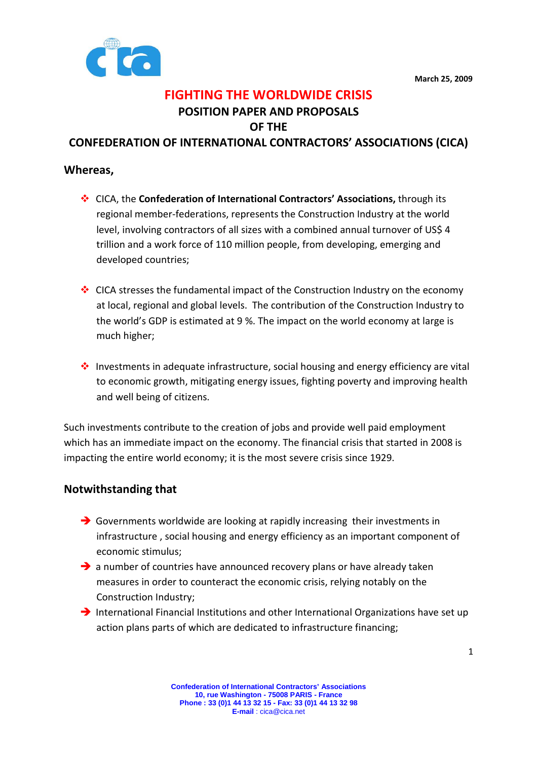

# FIGHTING THE WORLDWIDE CRISIS POSITION PAPER AND PROPOSALS

OF THE

CONFEDERATION OF INTERNATIONAL CONTRACTORS' ASSOCIATIONS (CICA)

#### Whereas,

- ◆ CICA, the Confederation of International Contractors' Associations, through its regional member-federations, represents the Construction Industry at the world level, involving contractors of all sizes with a combined annual turnover of US\$ 4 trillion and a work force of 110 million people, from developing, emerging and developed countries;
- $\cdot$  CICA stresses the fundamental impact of the Construction Industry on the economy at local, regional and global levels. The contribution of the Construction Industry to the world's GDP is estimated at 9 %. The impact on the world economy at large is much higher;
- $\cdot \cdot$  Investments in adequate infrastructure, social housing and energy efficiency are vital to economic growth, mitigating energy issues, fighting poverty and improving health and well being of citizens.

Such investments contribute to the creation of jobs and provide well paid employment which has an immediate impact on the economy. The financial crisis that started in 2008 is impacting the entire world economy; it is the most severe crisis since 1929.

#### Notwithstanding that

- Governments worldwide are looking at rapidly increasing their investments in infrastructure , social housing and energy efficiency as an important component of economic stimulus;
- > a number of countries have announced recovery plans or have already taken measures in order to counteract the economic crisis, relying notably on the Construction Industry;
- > International Financial Institutions and other International Organizations have set up action plans parts of which are dedicated to infrastructure financing;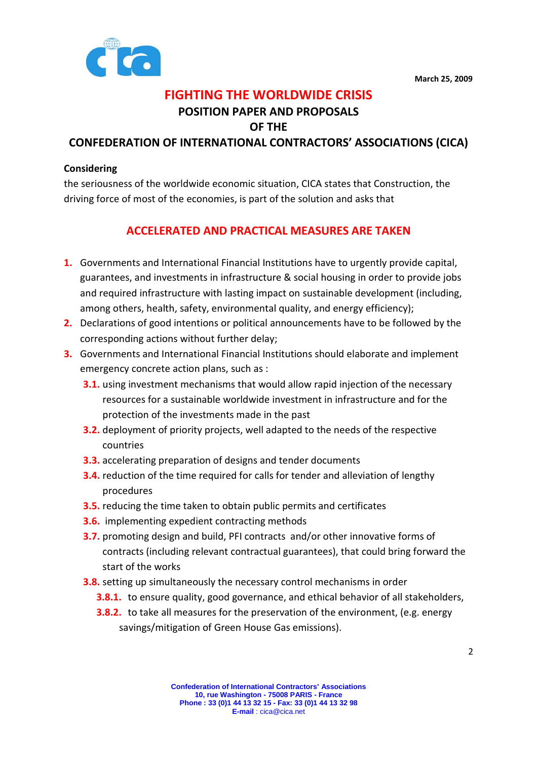

## FIGHTING THE WORLDWIDE CRISIS

# POSITION PAPER AND PROPOSALS

OF THE

#### CONFEDERATION OF INTERNATIONAL CONTRACTORS' ASSOCIATIONS (CICA)

#### **Considering**

the seriousness of the worldwide economic situation, CICA states that Construction, the driving force of most of the economies, is part of the solution and asks that

## ACCELERATED AND PRACTICAL MEASURES ARE TAKEN

- 1. Governments and International Financial Institutions have to urgently provide capital, guarantees, and investments in infrastructure & social housing in order to provide jobs and required infrastructure with lasting impact on sustainable development (including, among others, health, safety, environmental quality, and energy efficiency);
- 2. Declarations of good intentions or political announcements have to be followed by the corresponding actions without further delay;
- 3. Governments and International Financial Institutions should elaborate and implement emergency concrete action plans, such as :
	- **3.1.** using investment mechanisms that would allow rapid injection of the necessary resources for a sustainable worldwide investment in infrastructure and for the protection of the investments made in the past
	- **3.2.** deployment of priority projects, well adapted to the needs of the respective countries
	- **3.3.** accelerating preparation of designs and tender documents
	- **3.4.** reduction of the time required for calls for tender and alleviation of lengthy procedures
	- **3.5.** reducing the time taken to obtain public permits and certificates
	- **3.6.** implementing expedient contracting methods
	- **3.7.** promoting design and build, PFI contracts and/or other innovative forms of contracts (including relevant contractual guarantees), that could bring forward the start of the works
	- **3.8.** setting up simultaneously the necessary control mechanisms in order
		- **3.8.1.** to ensure quality, good governance, and ethical behavior of all stakeholders,
		- **3.8.2.** to take all measures for the preservation of the environment, (e.g. energy savings/mitigation of Green House Gas emissions).